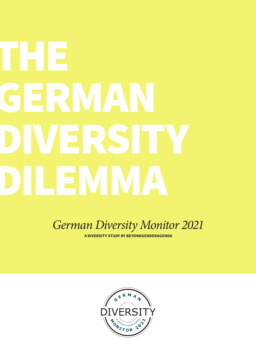# THE GERMAN DIVERSITY DILEMMA

*German Diversity Monitor 2021*

**A DIVERSITY STUDY BY BEYONDGENDERAGENDA**

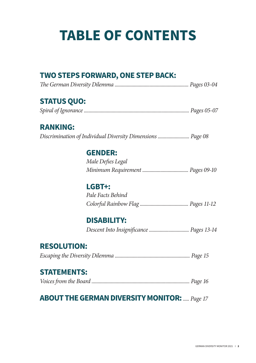# **TABLE OF CONTENTS**

### **TWO STEPS FORWARD, ONE STEP BACK:**

|--|--|

### **STATUS QUO:**

|--|--|--|--|--|--|

### **RANKING:**

*Discrimination of Individual Diversity Dimensions .......................... Page 08*

### **GENDER:**

| Male Defies Legal |  |
|-------------------|--|
|                   |  |

### **LGBT+:**

 *Pale Facts Behind Colorful Rainbow Flag ........................................ Pages 11-12*

### **DISABILITY:**

 *Descent Into Insignificance ................................. Pages 13-14*

### **RESOLUTION:**

*Escaping the Diversity Dilemma .............................................................. Page 15*

### **STATEMENTS:**

|--|--|--|

### **ABOUT THE GERMAN DIVERSITY MONITOR:***..... Page 17*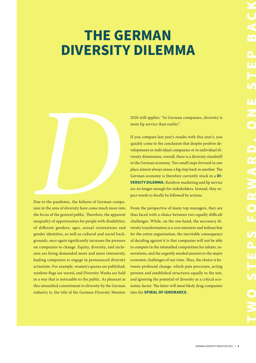# **THE GERMAN DIVERSITY DILEMMA**



Due to the pandemic, the failures of German companies in the area of diversity have come much more into the focus of the general public. Therefore, the apparent inequality of opportunities for people with disabilities, of different genders, ages, sexual orientations and gender identities, as well as cultural and social backgrounds, once again significantly increases the pressure on companies to change. Equity, diversity, and inclusion are being demanded more and more intensively, leading companies to engage in pronounced diversity actionism. For example, women's quotas are published, rainbow flags are waved, and Diversity Weeks are held in a way that is noticeable to the public. As pleasant as this intensified commitment to diversity by the German industry is, the title of the German Diversity Monitor 2020 still applies: "In German companies, diversity is more lip service than reality".

If you compare last year's results with this year's, you quickly come to the conclusion that despite positive developments in individual companies or in individual diversity dimensions, overall, there is a diversity standstill in the German economy. Two small steps forward in one place almost always mean a big step back in another. The German economy is therefore currently stuck in a **DI-VERSITY DILEMMA.** Rainbow marketing and lip service are no longer enough for stakeholders. Instead, they expect words to finally be followed by actions.

From the perspective of many top managers, they are thus faced with a choice between two equally difficult challenges. While, on the one hand, the necessary diversity transformation is a cost-intensive and tedious feat for the entire organization, the inevitable consequence of deciding against it is that companies will not be able to compete in the intensified competition for talents, innovations, and the urgently needed answers to the major economic challenges of our time. Thus, the choice is between profound change, which puts processes, acting persons and established structures equally to the test, and ignoring the potential of diversity as a critical economic factor. The latter will most likely drag companies into the **SPIRAL OF IGNORANCE.**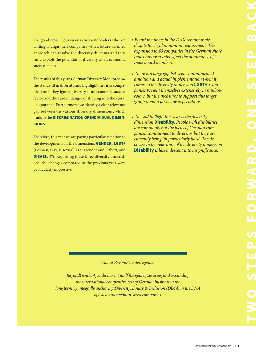The good news: Courageous corporate leaders who are willing to align their companies with a future-oriented approach can resolve the diversity dilemma and thus fully exploit the potential of diversity as an economic success factor.

The results of this year's German Diversity Monitor show the standstill in diversity and highlight the risks companies run if they ignore diversity as an economic success factor and thus are in danger of slipping into the spiral of ignorance. Furthermore, we identify a clear relevance gap between the various diversity dimensions, which leads to the **DISCRIMINATION OF INDIVIDUAL DIMEN-SIONS.**

Therefore, this year we are paying particular attention to the developments in the dimensions **GENDER, LGBT+**  (Lesbian, Gay, Bisexual, Transgender and Other), and **DISABILITY**. Regarding these three diversity dimensions, the changes compared to the previous year were particularly impressive.

- *→ Board members in the DAX remain male despite the legal minimum requirement. The expansion to 40 companies in the German share index has even intensified the dominance of male board members.*
- *→ There is a large gap between communicated ambition and actual implementation when it comes to the diversity dimension* **LGBT+***. Companies present themselves extensively in rainbow colors, but the measures to support this target group remain far below expectations.*
- *→ The sad taillight this year is the diversity dimension* **Disability***. People with disabilities are commonly not the focus of German companies' commitment to diversity, but they are currently being hit particularly hard. The decrease in the relevance of the diversity dimension*  **Disability** *is like a descent into insignificance.*

#### *About BeyondGenderAgenda*

*BeyondGenderAgenda has set itself the goal of securing and expanding the international competitiveness of German business in the long term by integrally anchoring Diversity, Equity & Inclusion (DE&I) in the DNA of listed and medium-sized companies.*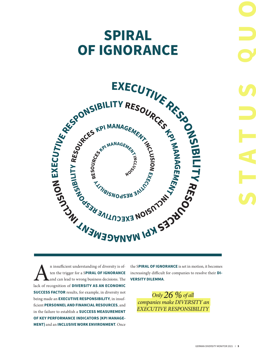# **SPIRAL OF IGNORANCE**



In insufficient understanding of diversity is of-<br>ten the trigger for a SPIRAL OF IGNORANCE<br>and can lead to wrong business decisions. The<br>lack of recognition of DIVERSITY AS AN ECONOMIC ten the trigger for a S**PIRAL OF IGNORANCE**  and can lead to wrong business decisions. The lack of recognition of **DIVERSITY AS AN ECONOMIC SUCCESS FACTOR** results, for example, in diversity not being made an **EXECUTIVE RESPONSIBILITY**, in insufficient **PERSONNEL AND FINANCIAL RESOURCES**, and in the failure to establish a **SUCCESS MEASUREMENT OF KEY PERFORMANCE INDICATORS (KPI MANAGE-MENT)** and an **INCLUSIVE WORK ENVIRONMENT**. Once

increasingly difficult for companies to resolve their **DI-VERSITY DILEMMA**.

*Only 26 % of all companies make DIVERSITY an EXECUTIVE RESPONSIBILITY*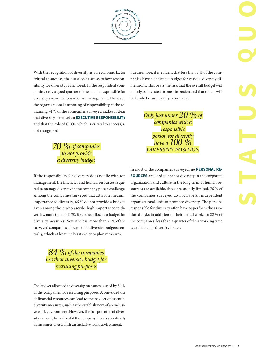**EXECUTIVERESP RE** $\boldsymbol{s}$ **OUR R**<br>EXPANDING TO APPROVE **<sup>C</sup>N<sup>I</sup> <sup>T</sup>NE <sup>M</sup><sup>E</sup> BOOM ALLOWS AND RESOURCE AND RESIDENCE AND RESOURCE AND RESOURCE AND RESOURCE AND RESOURCE AND RESOURCE AND RE <sup>E</sup>REV<sup>I</sup> <sup>T</sup><sup>U</sup> CONTRACT AND MANAGEMENT ACCESS AND RESIDENCE CAR AND RESIDENCE CAR AND RESIDENCE CAR AND RESIDENCE CAR AND STRATEGY <sup>B</sup><sup>I</sup> <sup>S</sup>NOP<sup>S</sup>** Communication

With the recognition of diversity as an economic factor critical to success, the question arises as to how responsibility for diversity is anchored. In the respondent companies, only a good quarter of the people responsible for diversity are on the board or in management. However, the organizational anchoring of responsibility at the remaining 74 % of the companies surveyed makes it clear that diversity is not yet an **EXECUTIVE RESPONSIBILITY** and that the role of CEOs, which is critical to success, is not recognized.

### *70 % of companies do not provide a diversity budget*

If the responsibility for diversity does not lie with top management, the financial and human resources required to manage diversity in the company pose a challenge. Among the companies surveyed that attribute medium importance to diversity, 86 % do not provide a budget. Even among those who ascribe high importance to diversity, more than half (52 %) do not allocate a budget for diversity measures! Nevertheless, more than 75 % of the surveyed companies allocate their diversity budgets centrally, which at least makes it easier to plan measures.

Furthermore, it is evident that less than 5 % of the companies have a dedicated budget for various diversity dimensions. This bears the risk that the overall budget will mainly be invested in one dimension and that others will be funded insufficiently or not at all.

> *Only just under 20 % of companies with a responsible person for diversity have a 100 % DIVERSITY POSITION*

In most of the companies surveyed, no **PERSONAL RE-SOURCES** are used to anchor diversity in the corporate organization and culture in the long term. If human resources are available, these are usually limited. 76 % of the companies surveyed do not have an independent organizational unit to promote diversity. The persons responsible for diversity often have to perform the associated tasks in addition to their actual work. In 22 % of the companies, less than a quarter of their working time is available for diversity issues.

#### *84 % of the companies use their diversity budget for recruiting purposes*

The budget allocated to diversity measures is used by 84 % of the companies for recruiting purposes. A one-sided use of financial resources can lead to the neglect of essential diversity measures, such as the establishment of an inclusive work environment. However, the full potential of diversity can only be realized if the company invests specifically in measures to establish an inclusive work environment.

**STATUS** 

**U O**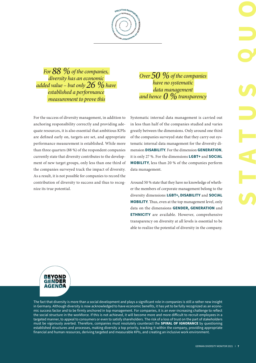**R R**<br>EXPANDING TO APPROVE **<sup>C</sup>N<sup>I</sup> <sup>T</sup>NE <sup>M</sup><sup>E</sup> BOOM ALLOWS AND RESOURCE AND RESIDENCE AND RESOURCE AND RESOURCE AND RESOURCE AND RESOURCE AND RESOURCE AND RE <sup>E</sup>REV<sup>I</sup> <sup>T</sup><sup>U</sup> CONTRACT AND MANAGEMENT ACCESS AND RESIDENCE CAR AND RESIDENCE CAR AND RESIDENCE CAR AND RESIDENCE CAR AND STRATEGY <sup>B</sup><sup>I</sup> <sup>S</sup>NOP<sup>S</sup>** Communication

**EXECUTIVE RESPONS** 

**RE** $\boldsymbol{s}$ **OU**

*For 88 % of the companies, diversity has an economic added value – but only 26 % have established a performance measurement to prove this*

For the success of diversity management, in addition to anchoring responsibility correctly and providing adequate resources, it is also essential that ambitious KPIs are defined early on, targets are set, and appropriate performance measurement is established. While more than three quarters (88 %) of the respondent companies currently state that diversity contributes to the development of new target groups, only less than one third of the companies surveyed track the impact of diversity. As a result, it is not possible for companies to record the contribution of diversity to success and thus to recognize its true potential.

*Over 50 % of the companies have no systematic data management and hence 0 % transparency*

Systematic internal data management is carried out in less than half of the companies studied and varies greatly between the dimensions. Only around one third of the companies surveyed state that they carry out systematic internal data management for the diversity dimension **DISABILITY**. For the dimension **GENERATION**, it is only 27 %. For the dimensions **LGBT+** and **SOCIAL MOBILITY**, less than 20 % of the companies perform data management.

Around 50 % state that they have no knowledge of whether the members of corporate management belong to the diversity dimensions **LGBT+, DISABILITY** and **SOCIAL MOBILITY**. Thus, even at the top management level, only data on the dimensions **GENDER, GENERATION** and **ETHNICITY** are available. However, comprehensive transparency on diversity at all levels is essential to be able to realize the potential of diversity in the company.

**BEYOND GENDER** 

The fact that diversity is more than a social development and plays a significant role in companies is still a rather new insight in Germany. Although diversity is now acknowledged to have economic benefits, it has yet to be fully recognized as an economic success factor and to be firmly anchored in top management. For companies, it is an ever-increasing challenge to reflect the social structure in the workforce. If this is not achieved, it will become more and more difficult to recruit employees in a targeted manner, to appeal to consumers or even to satisfy shareholders. The risk of a loss of trust on the part of stakeholders must be vigorously averted. Therefore, companies must resolutely counteract the **SPIRAL OF IGNORANCE** by questioning established structures and processes, making diversity a top priority, tracking it within the company, providing appropriate financial and human resources, deriving targeted and measurable KPIs, and creating an inclusive work environment.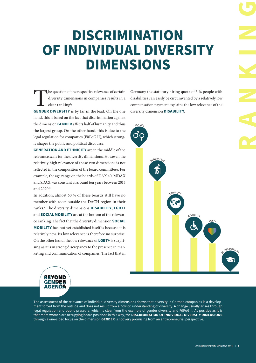# **DISCRIMINATION OF INDIVIDUAL DIVERSITY DIMENSIONS**

The question of the respective relevance of certain diversity dimensions in companies results in a clear ranking<sup>1</sup>:<br>**GENDER DIVERSITY** is by far in the lead. On the one diversity dimensions in companies results in a clear ranking<sup>1</sup>:

hand, this is based on the fact that discrimination against the dimension **GENDER** affects half of humanity and thus the largest group. On the other hand, this is due to the legal regulation for companies (FüPoG II), which strongly shapes the public and political discourse.

**GENERATION AND ETHNICITY** are in the middle of the relevance scale for the diversity dimensions. However, the relatively high relevance of these two dimensions is not reflected in the composition of the board committees. For example, the age range on the boards of DAX 40, MDAX and SDAX was constant at around ten years between 2015 and 2020.\*

In addition, almost 60 % of these boards still have no member with roots outside the DACH region in their ranks.\* The diversity dimensions **DISABILITY, LGBT+** and **SOCIAL MOBILITY** are at the bottom of the relevance ranking. The fact that the diversity dimension **SOCIAL MOBILITY** has not yet established itself is because it is relatively new. Its low relevance is therefore no surprise. On the other hand, the low relevance of **LGBT+** is surprising as it is in strong discrepancy to the presence in marketing and communication of companies. The fact that in

Germany the statutory hiring quota of 5 % people with disabilities can easily be circumvented by a relatively low compensation payment explains the low relevance of the diversity dimension **DISABILITY**.



**BEYOND GENDER** AGENDA

The assessment of the relevance of individual diversity dimensions shows that diversity in German companies is a development forced from the outside and does not result from a holistic understanding of diversity. A change usually arises through legal regulation and public pressure, which is clear from the example of gender diversity and FüPoG II. As positive as it is that more women are occupying board positions in this way, the **DISCRIMINATION OF INDIVIDUAL DIVERSITY DIMENSIONS** through a one-sided focus on the dimension **GENDER** is not very promising from an entrepreneurial perspective.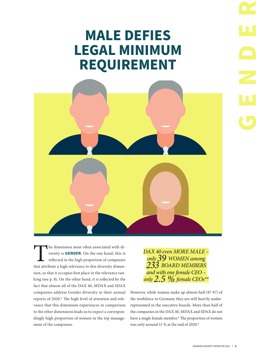# **MALE DEFIES LEGAL MINIMUM REQUIREMENT**



The dimension most often associated with diversity is **GENDER**. On the one hand, this is reflected in the high proportion of companies that attribute a high relevance to this diversity dimenversity is **GENDER**. On the one hand, this is reflected in the high proportion of companies sion, so that it occupies first place in the relevance ranking (see p. 8). On the other hand, it is reflected by the fact that almost all of the DAX 40, MDAX and SDAX companies address Gender diversity in their annual reports of 2020.\* The high level of attention and relevance that this dimension experiences in comparison to the other dimensions leads us to expect a correspondingly high proportion of women in the top management of the companies.

*DAX 40 even MORE MALE – only 39 WOMEN among 233 BOARD MEMBERS and with one female CEO – only 2.5 % female CEOs\*\**

However, while women make up almost half  $(47 \%)$  of the workforce in Germany they are still heavily underrepresented in the executive boards. More than half of the companies in the DAX 40, MDAX and SDAX do not have a single female member.\* The proportion of women was only around 11 % at the end of 2020.\*

**GENDER**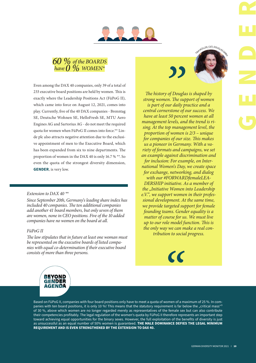



Even among the DAX 40 companies, only 39 of a total of 233 executive board positions are held by women. This is exactly where the Leadership Positions Act (FüPoG II), which came into force on August 12, 2021, comes into play. Currently, five of the 40 DAX companies - Brenntag SE, Deutsche Wohnen SE, HelloFresh SE, MTU Aero Engines AG and Sartorius AG - do not meet the required quota for women when FüPoG II comes into force.\*\* Linde plc also attracts negative attention due to the exclusive appointment of men to the Executive Board, which has been expanded from six to nine departments. The proportion of women in the DAX 40 is only 16.7 % \*\*. So even the quota of the strongest diversity dimension, **GENDER**, is very low.

#### *Extension to DAX 40 \*\**

*Since September 20th, Germany's leading share index has included 40 companies. The ten additional companies add another 41 board members, but only seven of them are women, none in CEO positions. Five of the 10 added companies have no women on the board at all.*

*The law stipulates that in future at least one woman must be represented on the executive boards of listed companies with equal co-determination if their executive board consists of more than three persons.*

TINAMÜLLER, CEO, DOUGLAS GMB

**GENDER**

*The history of Douglas is shaped by strong women. The support of women is part of our daily practice and a central cornerstone of our success. We have at least 50 percent women at all management levels, and the trend is rising. At the top management level, the proportion of women is 2/3 – unique for companies of our size. This makes us a pioneer in Germany. With a variety of formats and campaigns, we set an example against discrimination and for inclusion: For example, on International Women's Day, we create space for exchange, networking, and dialog with our #FORWARDfemaleLEA-DERSHIP initiative. As a member of the "Initiative Women into Leadership e.V.", we support women in their professional development. At the same time, we provide targeted support for female founding teams. Gender equality is a matter of course for us. We must live up to our role model function. This is the only way we can make a real conthe only way we can make a real progress. FüPoG II* 

 $\epsilon$ 



Based on FüPoG II, companies with four board positions only have to meet a quota of women of a maximum of 25 %. In companies with ten board positions, it is only 10 %! This means that the statutory requirement is far below the "critical mass"<sup>3</sup> of 30 %, above which women are no longer regarded merely as representatives of the female sex but can also contribute their competencies profitably. The legal regulation of the women's quota by FüPoG II therefore represents an important step toward achieving equal opportunities for the binary sexes. However, the full exploitation of the benefits of diversity is just as unsuccessful as an equal number of 50% women is guaranteed. **THE MALE DOMINANCE DEFIES THE LEGAL MINIMUM REQUIREMENT AND IS EVEN STRENGTHENED BY THE EXTENSION TO DAX 40.**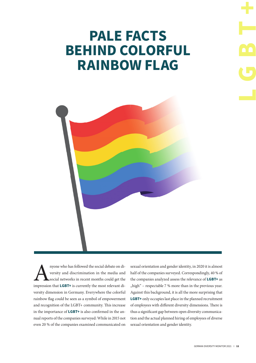# **PALE FACTS BEHIND COLORFUL RAINBOW FLAG**



Anyone who has followed the social debate on diversity and discrimination in the media and social networks in recent months could get the impression that **LGBT+** is currently the most relevant diversity and discrimination in the media and social networks in recent months could get the versity dimension in Germany. Everywhere the colorful rainbow flag could be seen as a symbol of empowerment and recognition of the LGBT+ community. This increase in the importance of **LGBT+** is also confirmed in the annual reports of the companies surveyed: While in 2015 not even 20 % of the companies examined communicated on

sexual orientation and gender identity, in 2020 it is almost half of the companies surveyed. Correspondingly, 40 % of the companies analyzed assess the relevance of **LGBT+** as  $m$ high" – respectable 7 % more than in the previous year. Against this background, it is all the more surprising that **LGBT+** only occupies last place in the planned recruitment of employees with different diversity dimensions. There is thus a significant gap between open diversity communication and the actual planned hiring of employees of diverse sexual orientation and gender identity.

**LGBT+**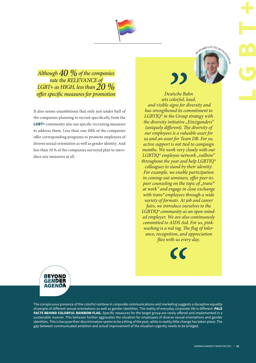*Although 40 % of the companies rate the RELEVANCE of LGBT+ as HIGH, less than 20 % offer specific measures for promotion* 

It also seems unambitious that only just under half of the companies planning to recruit specifically from the **LGBT+** community also use specific recruiting measures to address them. Less than one-fifth of the companies offer corresponding programs to promote employees of diverse sexual orientation as well as gender identity. And less than 10 % of the companies surveyed plan to introduce any measures at all.



*Deutsche Bahn sets colorful, loud, and visible signs for diversity and has strengthened its commitment to LGBTIQ\* in the Group strategy with the diversity initiative "Einziganders" (uniquely different). The diversity of our employees is a valuable asset for us and an asset for Team DB. For us, active support is not tied to campaign months. We work very closely with our*  LGBTIQ<sup>\*</sup> employee network "railbow" *throughout the year and help LGBTIQ\* colleagues to stand by their identity. For example, we enable participation*  in coming-out seminars, offer peer-to*peer counseling on the topic of "trans*\* *at work" and engage in close exchange with trans\* employees through a wide variety of formats. At job and career fairs, we introduce ourselves to the LGBTIQ\* community as an open-minded employer. We are also continuously committed to AIDS Aid. For us, pink*washing is a red rag. The flag of toler*ance, recognition, and appreciation flies with us every day.* FREED WITH CROSSON CONTRACT CORPORATION CONTRACT CORPORATION CONTRACT CORPORATION CONTRACT CONTRACT CONTRACT CONTRACT CONTRACT CONTRACT CONTRACT CONTRACT CONTRACT CONTRACT CONTRACT CONTRACT CONTRACT CONTRACT CONTRACT CONTR





The conspicuous presence of the colorful rainbow in corporate communications and marketing suggests a deceptive equality of people of different sexual orientations as well as gender identities. The reality of everyday corporate life is different: PALE FACTS BEHIND COLORFUL RAINBOW FLAG. Specific measures for the target group are rarely offered and implemented in a sustainable manner. This behavior further aggravates the situation for employees of diverse sexual orientations and gender identities. This is because their discrimination seems to be a thing of the past, while in reality little change has taken place. The gap between communicated ambition and actual improvement of the situation urgently needs to be bridged.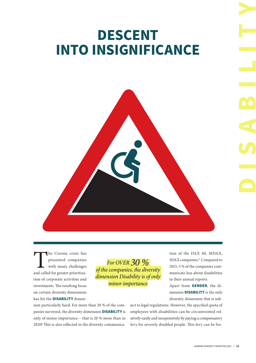### **DESCENT INTO INSIGNIFICANCE**

The Corona crisis has<br>
presented companies<br>
with many challenges<br>
and called for greater prioritizapresented companies with many challenges tion of corporate activities and investments. The resulting focus on certain diversity dimensions has hit the **DISABILITY** dimen-

*For OVER 30 % of the companies, the diversity dimension Disability is of only minor importance*

tion of the DAX 40, MDAX, SDAX companies.\* Compared to 2015, 5 % of the companies communicate less about disabilities in their annual reports.

Apart from **GENDER**, the dimension **DISABILITY** is the only diversity dimension that is sub-

sion particularly hard: For more than 30 % of the companies surveyed, the diversity dimension **DISABILITY** is only of minor importance – that is 20 % more than in 2020! This is also reflected in the diversity communicaject to legal regulations. However, the specified quota of employees with disabilities can be circumvented relatively easily and inexpensively by paying a compensatory levy for severely disabled people. This levy can be fur**DISABILITY**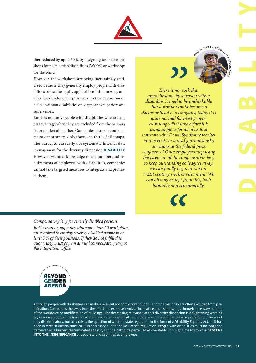

ther reduced by up to 50 % by assigning tasks to workshops for people with disabilities (WfbM) or workshops for the blind.

However, the workshops are being increasingly criticized because they generally employ people with disabilities below the legally applicable minimum wage and offer few development prospects. In this environment, people without disabilities only appear as superiors and supervisors.

But it is not only people with disabilities who are at a disadvantage when they are excluded from the primary labor market altogether. Companies also miss out on a major opportunity. Only about one-third of all companies surveyed currently use systematic internal data management for the diversity dimension **DISABILITY**. However, without knowledge of the number and requirements of employees with disabilities, companies cannot take targeted measures to integrate and promote them.



*There is no work that annot be done by a person with a disability. It used to be unthinkable that a woman could become a doctor or head of a company, today it is quite normal for most people. How long will it take before it is commonplace for all of us that someone with Down Syndrome teaches at university or a deaf journalist asks questions at the federal press conference? Once employers stop using the payment of the compensation levy to keep outstanding colleagues away, we can finally begin to work in a 21st century work environment. We can all only benefit from this, both humanly and economically.* GERMAN DIVERSITY MONDER (1997)<br>
The mythical come a<br>
next think able<br>
come teaches<br>
people.<br>
fore it is<br>
nalist asks<br>
alists asks<br>
alists asks<br>
people.<br>
gentle and the prince of the principal<br>
come teaches<br>
this, both<br>
lin

*Compensatory levy for severely disabled persons In Germany, companies with more than 20 workplaces are required to employ severely disabled people in at least 5 % of their positions. If they do not fulfill this quota, they must pay an annual compensatory levy to the Integration Office.*



Although people with disabilities can make a relevant economic contribution in companies, they are often excluded from participation. Companies shy away from the effort and expense involved in creating accessibility, e.g., through necessary training of the workforce or modification of buildings. The decreasing relevance of this diversity dimension is a frightening warning signal indicating that the German economy will continue to fail to put people with disabilities on an equal footing. This is not only discriminatory, but also raises the question of whether state regulation in the form of a Disability Equality Act, as it has been in force in Austria since 2016, is necessary due to the lack of self-regulation. People with disabilities must no longer be perceived as a burden, discriminated against, and their attitude perceived as charitable. It is high time to stop the **DESCENT INTO THE INSIGNIFICANCE** of people with disabilities as employees.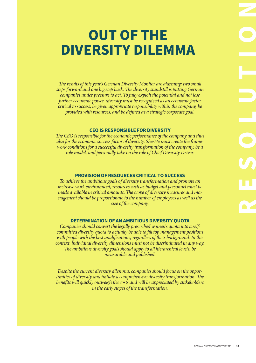# **OUT OF THE DIVERSITY DILEMMA**

*The results of this year's German Diversity Monitor are alarming: two small steps forward and one big step back. The diversity standstill is putting German companies under pressure to act. To fully exploit the potential and not lose further economic power, diversity must be recognized as an economic factor critical to success, be given appropriate responsibility within the company, be provided with resources, and be defined as a strategic corporate goal.*

#### **CEO IS RESPONSIBLE FOR DIVERSITY**

*The CEO is responsible for the economic performance of the company and thus also for the economic success factor of diversity. She/He must create the framework conditions for a successful diversity transformation of the company, be a role model, and personally take on the role of Chief Diversity Driver.*

#### **PROVISION OF RESOURCES CRITICAL TO SUCCESS**

*To achieve the ambitious goals of diversity transformation and promote an inclusive work environment, resources such as budget and personnel must be made available in critical amounts. The scope of diversity measures and management should be proportionate to the number of employees as well as the size of the company.*

#### **DETERMINATION OF AN AMBITIOUS DIVERSITY QUOTA**

*Companies should convert the legally prescribed women's quota into a selfcommitted diversity quota to actually be able to fill top management positions with people with the best qualifications, regardless of their background. In this context, individual diversity dimensions must not be discriminated in any way. The ambitious diversity goals should apply to all hierarchical levels, be measurable and published.*

*Despite the current diversity dilemma, companies should focus on the opportunities of diversity and initiate a comprehensive diversity transformation. The benefits will quickly outweigh the costs and will be appreciated by stakeholders in the early stages of the transformation.*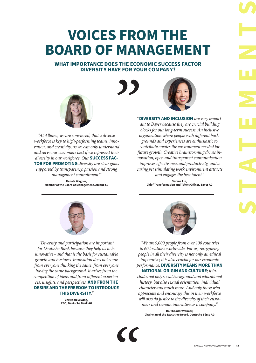# **VOICES FROM THE BOARD OF MANAGEMENT**

#### **WHAT IMPORTANCE DOES THE ECONOMIC SUCCESS FACTOR DIVERSITY HAVE FOR YOUR COMPANY?**



*"At Allianz, we are convinced, that a diverse workforce is key to high-performing teams, innovation, and creativity, as we can only understand and serve our customers best if we represent their diversity in our workforce. Our* **SUCCESS FAC-TOR FOR PROMOTING** *diversity are clear goals supported by transparency, passion and strong management commitment!"*

> **Renate Wagner, Member of the Board of Management, Allianz SE**



*"Diversity and participation are important for Deutsche Bank because they help us to be innovative - and that is the basis for sustainable growth and business. Innovation does not come from everyone thinking the same, from everyone having the same background. It arises from the competition of ideas and from different experiences, insights, and perspectives.* **AND FROM THE DESIRE AND THE FREEDOM TO INTRODUCE THIS DIVERSITY***."*

> **Christian Sewing, CEO, Deutsche Bank AG**



*"***DIVERSITY AND INCLUSION** *are very important to Bayer because they are crucial building blocks for our long-term success. An inclusive organization where people with different backgrounds and experiences are enthusiastic to contribute creates the environment needed for future growth. Creative brainstorming drives innovation, open and transparent communication improves effectiveness and productivity, and a caring yet stimulating work environment attracts and engages the best talent."*

> **Sarena Lin, Chief Transformation and Talent Officer, Bayer AG**



*"We are 9,000 people from over 100 countries in 60 locations worldwide. For us, recognizing people in all their diversity is not only an ethical imperative; it is also crucial for our economic performance.* **DIVERSITY MEANS MORE THAN NATIONAL ORIGIN AND CULTURE***; it in-*

*cludes not only social background and educational history, but also sexual orientation, individual character and much more. And only those who appreciate and encourage this in their workforce will also do justice to the diversity of their customers and remain innovative as a company."*

**Dr. Theodor Weimer, Chairman of the Executive Board, Deutsche Börse AG**